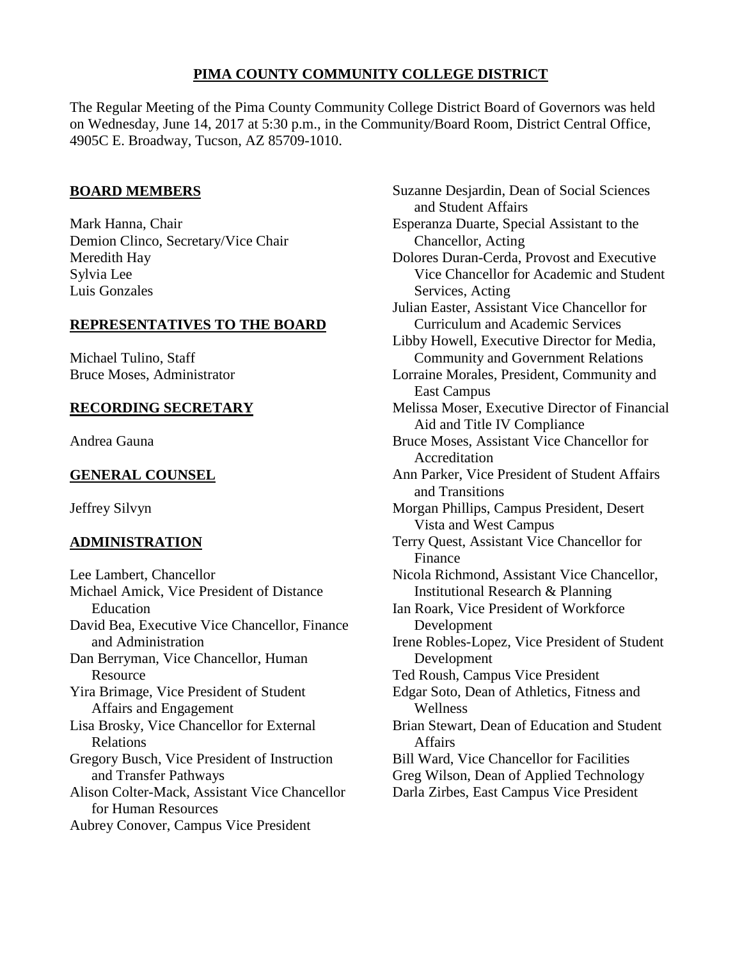## **PIMA COUNTY COMMUNITY COLLEGE DISTRICT**

The Regular Meeting of the Pima County Community College District Board of Governors was held on Wednesday, June 14, 2017 at 5:30 p.m., in the Community/Board Room, District Central Office, 4905C E. Broadway, Tucson, AZ 85709-1010.

## **BOARD MEMBERS**

Mark Hanna, Chair Demion Clinco, Secretary/Vice Chair Meredith Hay Sylvia Lee Luis Gonzales

## **REPRESENTATIVES TO THE BOARD**

Michael Tulino, Staff Bruce Moses, Administrator

## **RECORDING SECRETARY**

Andrea Gauna

## **GENERAL COUNSEL**

Jeffrey Silvyn

## **ADMINISTRATION**

Lee Lambert, Chancellor Michael Amick, Vice President of Distance Education David Bea, Executive Vice Chancellor, Finance and Administration Dan Berryman, Vice Chancellor, Human Resource Yira Brimage, Vice President of Student Affairs and Engagement Lisa Brosky, Vice Chancellor for External Relations Gregory Busch, Vice President of Instruction and Transfer Pathways Alison Colter-Mack, Assistant Vice Chancellor for Human Resources Aubrey Conover, Campus Vice President

Suzanne Desjardin, Dean of Social Sciences and Student Affairs Esperanza Duarte, Special Assistant to the Chancellor, Acting Dolores Duran-Cerda, Provost and Executive Vice Chancellor for Academic and Student Services, Acting Julian Easter, Assistant Vice Chancellor for Curriculum and Academic Services Libby Howell, Executive Director for Media, Community and Government Relations Lorraine Morales, President, Community and East Campus Melissa Moser, Executive Director of Financial Aid and Title IV Compliance Bruce Moses, Assistant Vice Chancellor for Accreditation Ann Parker, Vice President of Student Affairs and Transitions Morgan Phillips, Campus President, Desert Vista and West Campus Terry Quest, Assistant Vice Chancellor for Finance Nicola Richmond, Assistant Vice Chancellor, Institutional Research & Planning Ian Roark, Vice President of Workforce Development Irene Robles-Lopez, Vice President of Student Development Ted Roush, Campus Vice President Edgar Soto, Dean of Athletics, Fitness and Wellness Brian Stewart, Dean of Education and Student Affairs Bill Ward, Vice Chancellor for Facilities Greg Wilson, Dean of Applied Technology Darla Zirbes, East Campus Vice President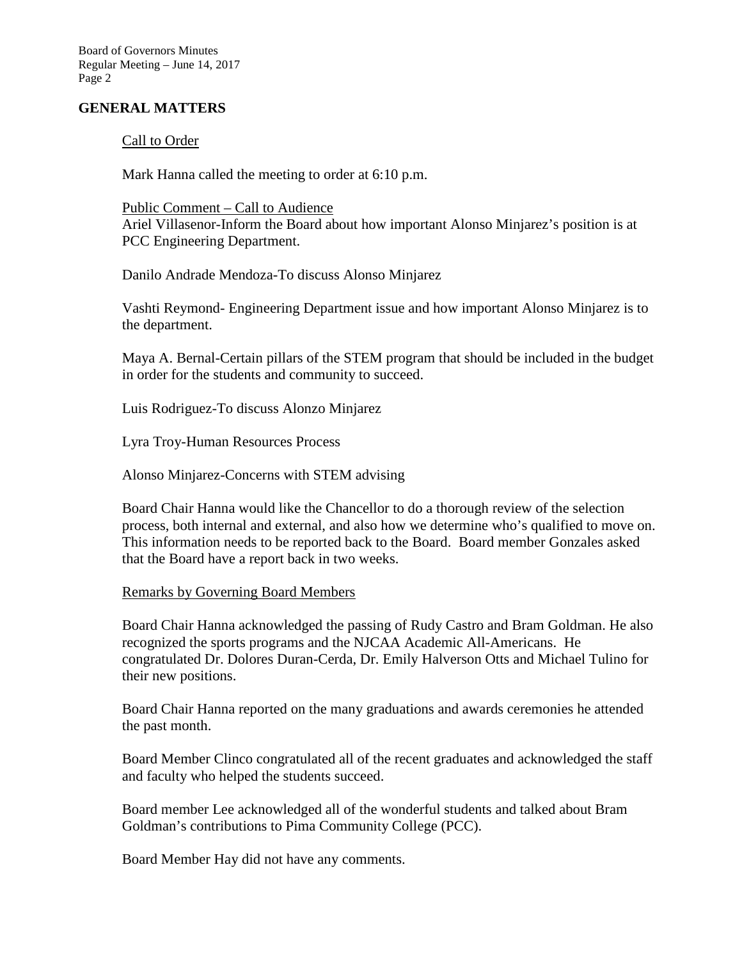Board of Governors Minutes Regular Meeting – June 14, 2017 Page 2

### **GENERAL MATTERS**

#### Call to Order

Mark Hanna called the meeting to order at 6:10 p.m.

#### Public Comment – Call to Audience

Ariel Villasenor-Inform the Board about how important Alonso Minjarez's position is at PCC Engineering Department.

Danilo Andrade Mendoza-To discuss Alonso Minjarez

Vashti Reymond- Engineering Department issue and how important Alonso Minjarez is to the department.

Maya A. Bernal-Certain pillars of the STEM program that should be included in the budget in order for the students and community to succeed.

Luis Rodriguez-To discuss Alonzo Minjarez

Lyra Troy-Human Resources Process

Alonso Minjarez-Concerns with STEM advising

Board Chair Hanna would like the Chancellor to do a thorough review of the selection process, both internal and external, and also how we determine who's qualified to move on. This information needs to be reported back to the Board. Board member Gonzales asked that the Board have a report back in two weeks.

#### Remarks by Governing Board Members

Board Chair Hanna acknowledged the passing of Rudy Castro and Bram Goldman. He also recognized the sports programs and the NJCAA Academic All-Americans. He congratulated Dr. Dolores Duran-Cerda, Dr. Emily Halverson Otts and Michael Tulino for their new positions.

Board Chair Hanna reported on the many graduations and awards ceremonies he attended the past month.

Board Member Clinco congratulated all of the recent graduates and acknowledged the staff and faculty who helped the students succeed.

Board member Lee acknowledged all of the wonderful students and talked about Bram Goldman's contributions to Pima Community College (PCC).

Board Member Hay did not have any comments.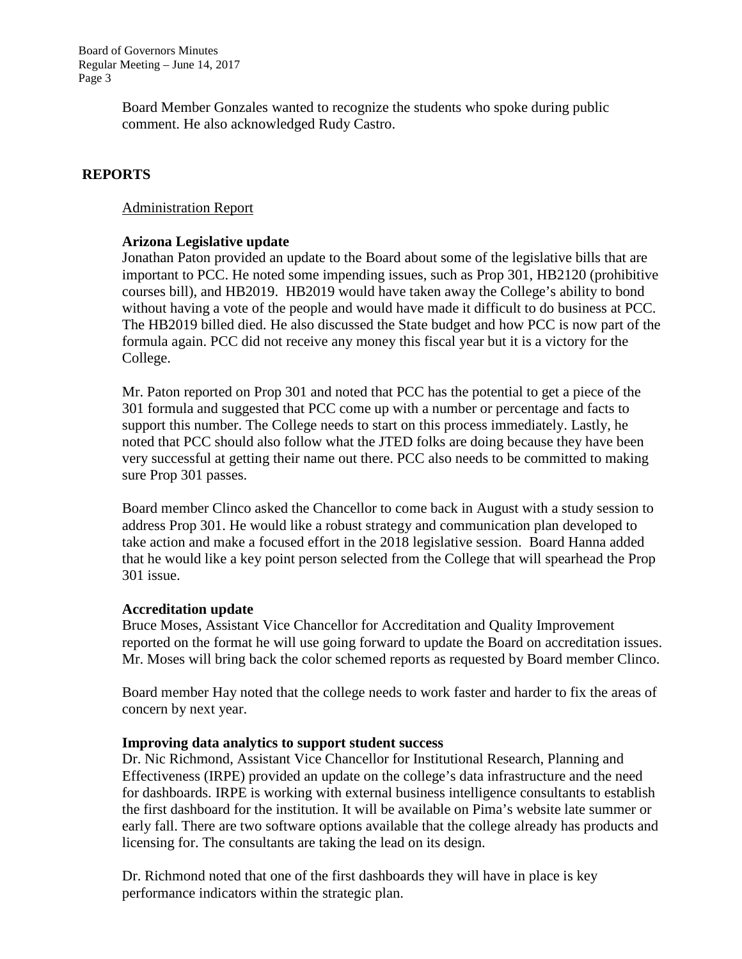Board of Governors Minutes Regular Meeting – June 14, 2017 Page 3

> Board Member Gonzales wanted to recognize the students who spoke during public comment. He also acknowledged Rudy Castro.

### **REPORTS**

#### Administration Report

### **Arizona Legislative update**

Jonathan Paton provided an update to the Board about some of the legislative bills that are important to PCC. He noted some impending issues, such as Prop 301, HB2120 (prohibitive courses bill), and HB2019. HB2019 would have taken away the College's ability to bond without having a vote of the people and would have made it difficult to do business at PCC. The HB2019 billed died. He also discussed the State budget and how PCC is now part of the formula again. PCC did not receive any money this fiscal year but it is a victory for the College.

Mr. Paton reported on Prop 301 and noted that PCC has the potential to get a piece of the 301 formula and suggested that PCC come up with a number or percentage and facts to support this number. The College needs to start on this process immediately. Lastly, he noted that PCC should also follow what the JTED folks are doing because they have been very successful at getting their name out there. PCC also needs to be committed to making sure Prop 301 passes.

Board member Clinco asked the Chancellor to come back in August with a study session to address Prop 301. He would like a robust strategy and communication plan developed to take action and make a focused effort in the 2018 legislative session. Board Hanna added that he would like a key point person selected from the College that will spearhead the Prop 301 issue.

#### **Accreditation update**

Bruce Moses, Assistant Vice Chancellor for Accreditation and Quality Improvement reported on the format he will use going forward to update the Board on accreditation issues. Mr. Moses will bring back the color schemed reports as requested by Board member Clinco.

Board member Hay noted that the college needs to work faster and harder to fix the areas of concern by next year.

#### **Improving data analytics to support student success**

Dr. Nic Richmond, Assistant Vice Chancellor for Institutional Research, Planning and Effectiveness (IRPE) provided an update on the college's data infrastructure and the need for dashboards. IRPE is working with external business intelligence consultants to establish the first dashboard for the institution. It will be available on Pima's website late summer or early fall. There are two software options available that the college already has products and licensing for. The consultants are taking the lead on its design.

Dr. Richmond noted that one of the first dashboards they will have in place is key performance indicators within the strategic plan.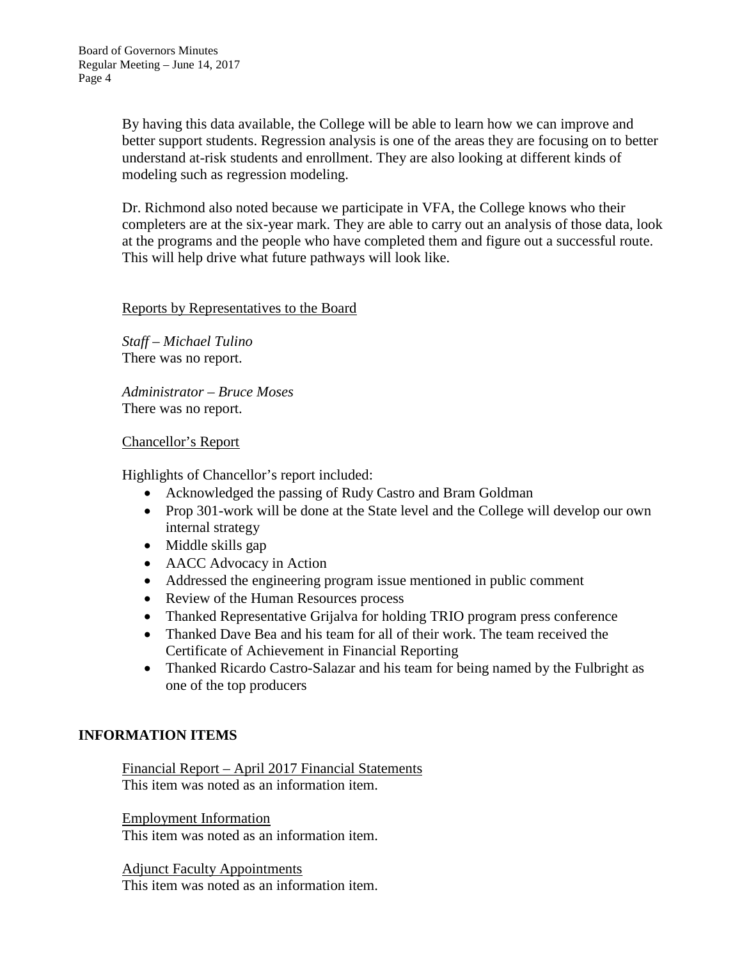By having this data available, the College will be able to learn how we can improve and better support students. Regression analysis is one of the areas they are focusing on to better understand at-risk students and enrollment. They are also looking at different kinds of modeling such as regression modeling.

Dr. Richmond also noted because we participate in VFA, the College knows who their completers are at the six-year mark. They are able to carry out an analysis of those data, look at the programs and the people who have completed them and figure out a successful route. This will help drive what future pathways will look like.

#### Reports by Representatives to the Board

*Staff – Michael Tulino* There was no report.

*Administrator – Bruce Moses* There was no report.

### Chancellor's Report

Highlights of Chancellor's report included:

- Acknowledged the passing of Rudy Castro and Bram Goldman
- Prop 301-work will be done at the State level and the College will develop our own internal strategy
- Middle skills gap
- AACC Advocacy in Action
- Addressed the engineering program issue mentioned in public comment
- Review of the Human Resources process
- Thanked Representative Grijalva for holding TRIO program press conference
- Thanked Dave Bea and his team for all of their work. The team received the Certificate of Achievement in Financial Reporting
- Thanked Ricardo Castro-Salazar and his team for being named by the Fulbright as one of the top producers

## **INFORMATION ITEMS**

Financial Report – April 2017 Financial Statements This item was noted as an information item.

Employment Information This item was noted as an information item.

Adjunct Faculty Appointments This item was noted as an information item.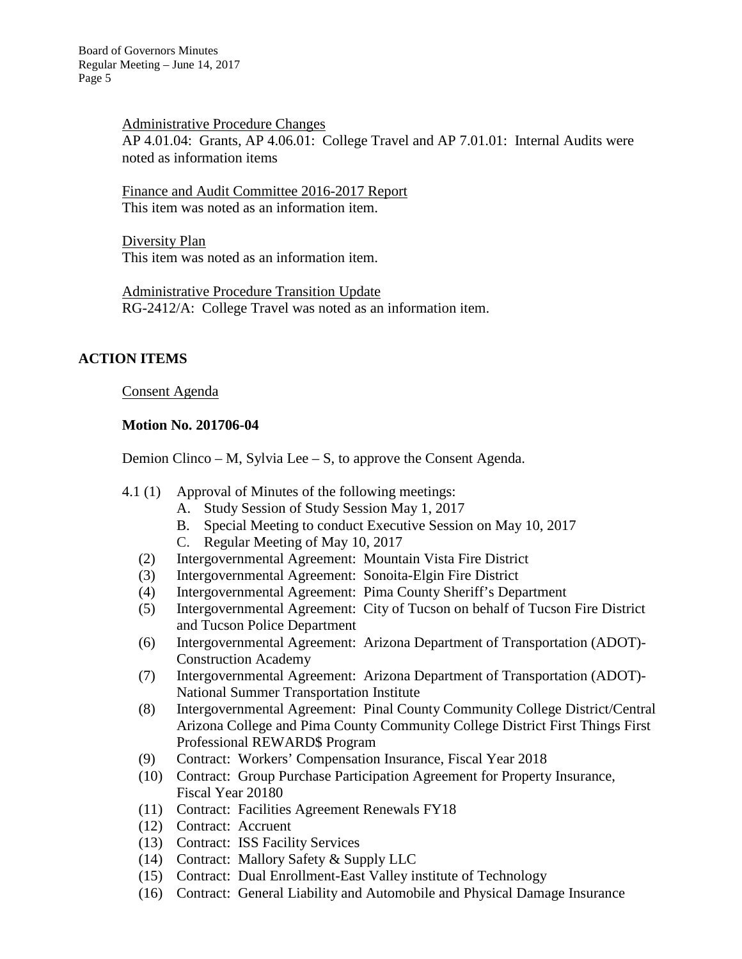Administrative Procedure Changes AP 4.01.04: Grants, AP 4.06.01: College Travel and AP 7.01.01: Internal Audits were noted as information items

Finance and Audit Committee 2016-2017 Report This item was noted as an information item.

Diversity Plan This item was noted as an information item.

Administrative Procedure Transition Update RG-2412/A: College Travel was noted as an information item.

## **ACTION ITEMS**

Consent Agenda

### **Motion No. 201706-04**

Demion Clinco – M, Sylvia Lee – S, to approve the Consent Agenda.

- 4.1 (1) Approval of Minutes of the following meetings:
	- A. Study Session of Study Session May 1, 2017
	- B. Special Meeting to conduct Executive Session on May 10, 2017
	- C. Regular Meeting of May 10, 2017
	- (2) Intergovernmental Agreement: Mountain Vista Fire District
	- (3) Intergovernmental Agreement: Sonoita-Elgin Fire District
	- (4) Intergovernmental Agreement: Pima County Sheriff's Department
	- (5) Intergovernmental Agreement: City of Tucson on behalf of Tucson Fire District and Tucson Police Department
	- (6) Intergovernmental Agreement: Arizona Department of Transportation (ADOT)- Construction Academy
	- (7) Intergovernmental Agreement: Arizona Department of Transportation (ADOT)- National Summer Transportation Institute
	- (8) Intergovernmental Agreement: Pinal County Community College District/Central Arizona College and Pima County Community College District First Things First Professional REWARD\$ Program
	- (9) Contract: Workers' Compensation Insurance, Fiscal Year 2018
	- (10) Contract: Group Purchase Participation Agreement for Property Insurance, Fiscal Year 20180
	- (11) Contract: Facilities Agreement Renewals FY18
	- (12) Contract: Accruent
	- (13) Contract: ISS Facility Services
	- (14) Contract: Mallory Safety & Supply LLC
	- (15) Contract: Dual Enrollment-East Valley institute of Technology
	- (16) Contract: General Liability and Automobile and Physical Damage Insurance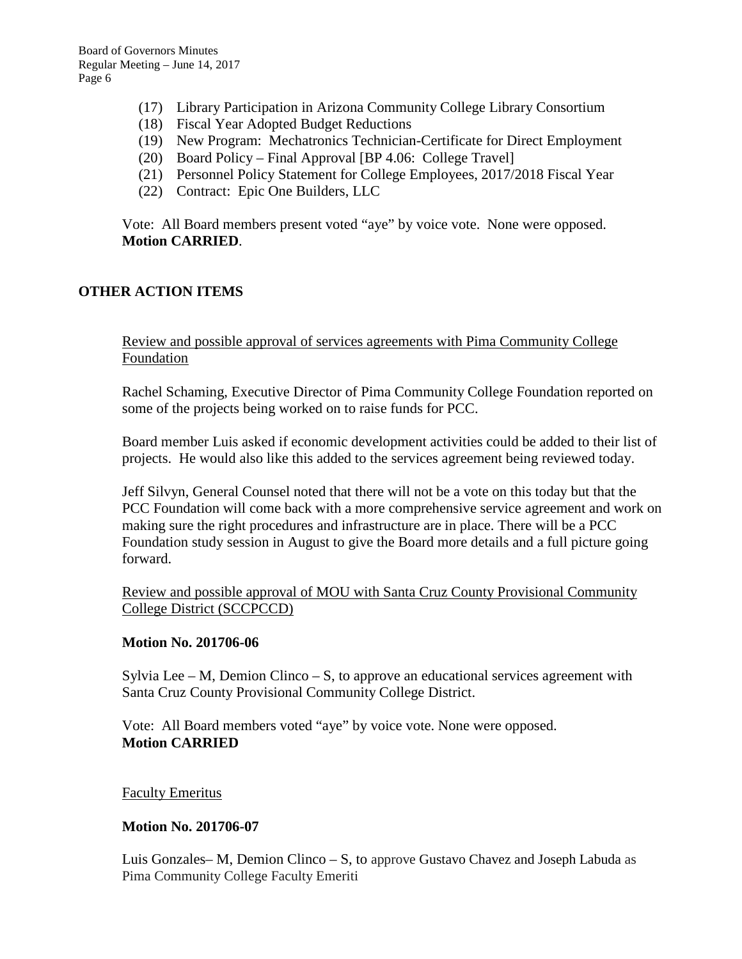- (17) Library Participation in Arizona Community College Library Consortium
- (18) Fiscal Year Adopted Budget Reductions
- (19) New Program: Mechatronics Technician-Certificate for Direct Employment
- (20) Board Policy Final Approval [BP 4.06: College Travel]
- (21) Personnel Policy Statement for College Employees, 2017/2018 Fiscal Year
- (22) Contract: Epic One Builders, LLC

Vote: All Board members present voted "aye" by voice vote. None were opposed. **Motion CARRIED**.

### **OTHER ACTION ITEMS**

Review and possible approval of services agreements with Pima Community College Foundation

Rachel Schaming, Executive Director of Pima Community College Foundation reported on some of the projects being worked on to raise funds for PCC.

Board member Luis asked if economic development activities could be added to their list of projects. He would also like this added to the services agreement being reviewed today.

Jeff Silvyn, General Counsel noted that there will not be a vote on this today but that the PCC Foundation will come back with a more comprehensive service agreement and work on making sure the right procedures and infrastructure are in place. There will be a PCC Foundation study session in August to give the Board more details and a full picture going forward.

Review and possible approval of MOU with Santa Cruz County Provisional Community College District (SCCPCCD)

#### **Motion No. 201706-06**

Sylvia Lee – M, Demion Clinco – S, to approve an educational services agreement with Santa Cruz County Provisional Community College District.

Vote: All Board members voted "aye" by voice vote. None were opposed. **Motion CARRIED**

#### Faculty Emeritus

### **Motion No. 201706-07**

Luis Gonzales– M, Demion Clinco – S, to approve Gustavo Chavez and Joseph Labuda as Pima Community College Faculty Emeriti